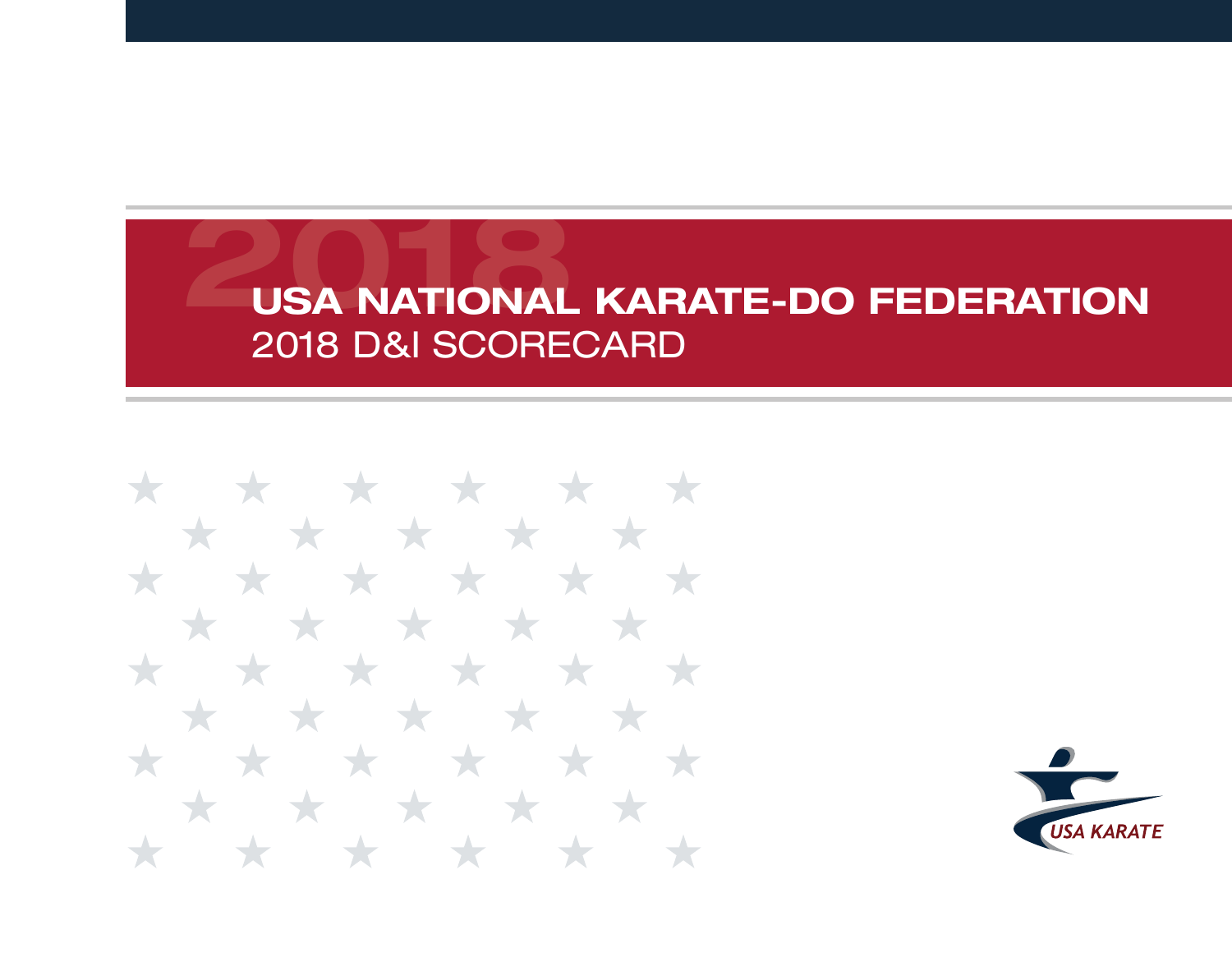\* \* \* \* \* \* \* \* \* \* \* \* \* \* \* \* \* \* H. ╅  $\bigstar$ \* \* \* **The State** \* \* \* \*  $\bigstar$ ★  $\bigstar$  $\bigstar$ **XX** \* \* \* \*  $\mathcal{A}$  $\bigstar$  $\bigstar$  $\bigstar$  $\rightarrow$ 

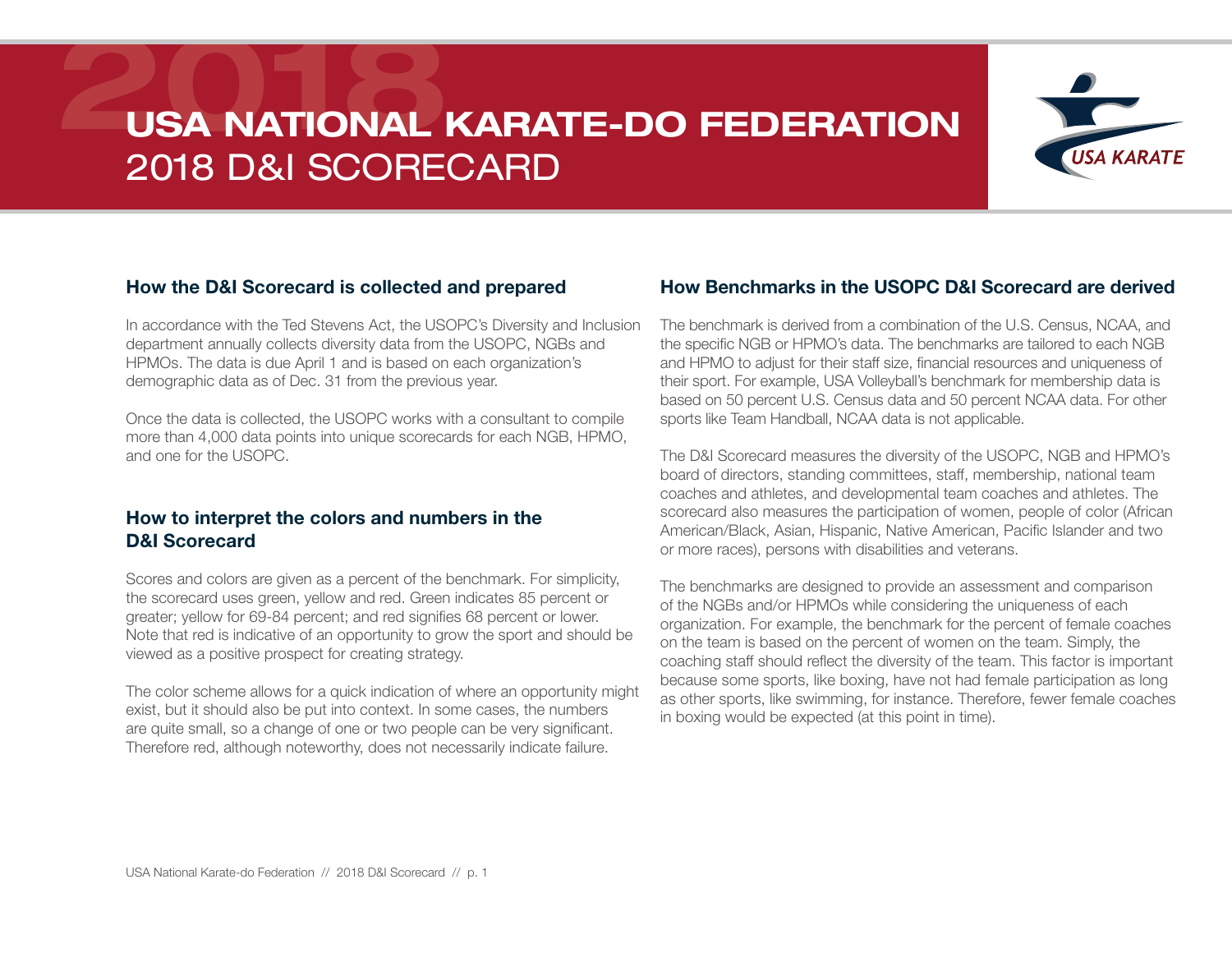

#### How the D&I Scorecard is collected and prepared

In accordance with the Ted Stevens Act, the USOPC's Diversity and Inclusion department annually collects diversity data from the USOPC, NGBs and HPMOs. The data is due April 1 and is based on each organization's demographic data as of Dec. 31 from the previous year.

Once the data is collected, the USOPC works with a consultant to compile more than 4,000 data points into unique scorecards for each NGB, HPMO, and one for the USOPC.

#### How to interpret the colors and numbers in the D&I Scorecard

Scores and colors are given as a percent of the benchmark. For simplicity, the scorecard uses green, yellow and red. Green indicates 85 percent or greater; yellow for 69-84 percent; and red signifies 68 percent or lower. Note that red is indicative of an opportunity to grow the sport and should be viewed as a positive prospect for creating strategy.

The color scheme allows for a quick indication of where an opportunity might exist, but it should also be put into context. In some cases, the numbers are quite small, so a change of one or two people can be very significant. Therefore red, although noteworthy, does not necessarily indicate failure.

#### How Benchmarks in the USOPC D&I Scorecard are derived

The benchmark is derived from a combination of the U.S. Census, NCAA, and the specific NGB or HPMO's data. The benchmarks are tailored to each NGB and HPMO to adjust for their staff size, financial resources and uniqueness of their sport. For example, USA Volleyball's benchmark for membership data is based on 50 percent U.S. Census data and 50 percent NCAA data. For other sports like Team Handball, NCAA data is not applicable.

The D&I Scorecard measures the diversity of the USOPC, NGB and HPMO's board of directors, standing committees, staff, membership, national team coaches and athletes, and developmental team coaches and athletes. The scorecard also measures the participation of women, people of color (African American/Black, Asian, Hispanic, Native American, Pacific Islander and two or more races), persons with disabilities and veterans.

The benchmarks are designed to provide an assessment and comparison of the NGBs and/or HPMOs while considering the uniqueness of each organization. For example, the benchmark for the percent of female coaches on the team is based on the percent of women on the team. Simply, the coaching staff should reflect the diversity of the team. This factor is important because some sports, like boxing, have not had female participation as long as other sports, like swimming, for instance. Therefore, fewer female coaches in boxing would be expected (at this point in time).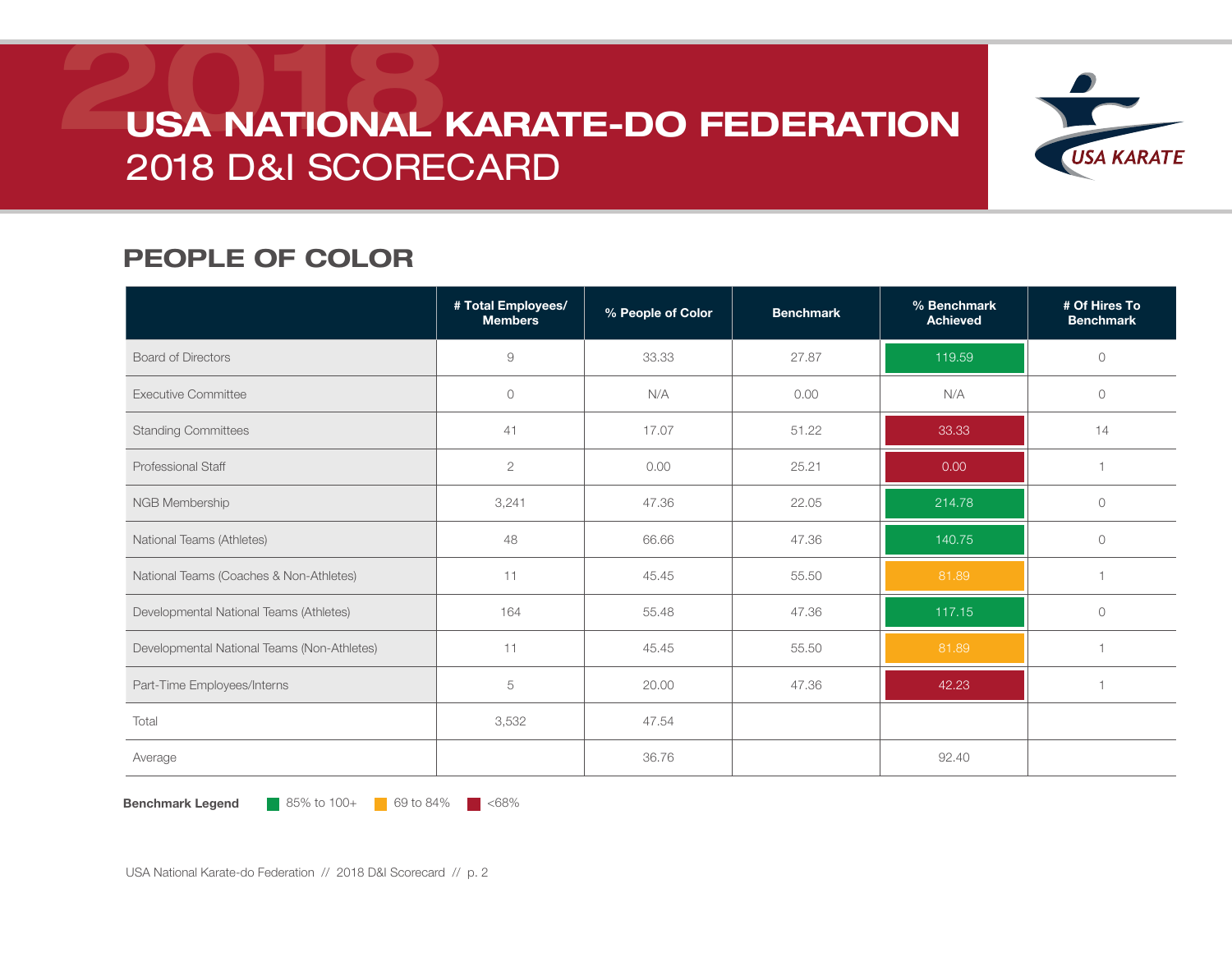

### PEOPLE OF COLOR

|                                             | # Total Employees/<br><b>Members</b> | % People of Color | <b>Benchmark</b> | % Benchmark<br><b>Achieved</b> | # Of Hires To<br><b>Benchmark</b> |
|---------------------------------------------|--------------------------------------|-------------------|------------------|--------------------------------|-----------------------------------|
| <b>Board of Directors</b>                   | 9                                    | 33.33             | 27.87            | 119.59                         | $\circ$                           |
| <b>Executive Committee</b>                  | $\circ$                              | N/A               | 0.00             | N/A                            | $\circ$                           |
| <b>Standing Committees</b>                  | 41                                   | 17.07             | 51.22            | 33.33                          | 14                                |
| Professional Staff                          | $\sqrt{2}$                           | 0.00              | 25.21            | 0.00                           |                                   |
| NGB Membership                              | 3,241                                | 47.36             | 22.05            | 214.78                         | $\circ$                           |
| National Teams (Athletes)                   | 48                                   | 66.66             | 47.36            | 140.75                         | $\circlearrowright$               |
| National Teams (Coaches & Non-Athletes)     | 11                                   | 45.45             | 55.50            | 81.89                          |                                   |
| Developmental National Teams (Athletes)     | 164                                  | 55.48             | 47.36            | 117.15                         | $\circlearrowright$               |
| Developmental National Teams (Non-Athletes) | 11                                   | 45.45             | 55.50            | 81.89                          |                                   |
| Part-Time Employees/Interns                 | 5                                    | 20.00             | 47.36            | 42.23                          |                                   |
| Total                                       | 3,532                                | 47.54             |                  |                                |                                   |
| Average                                     |                                      | 36.76             |                  | 92.40                          |                                   |

**Benchmark Legend** 85% to 100+ 69 to 84%  $\blacksquare$  <68%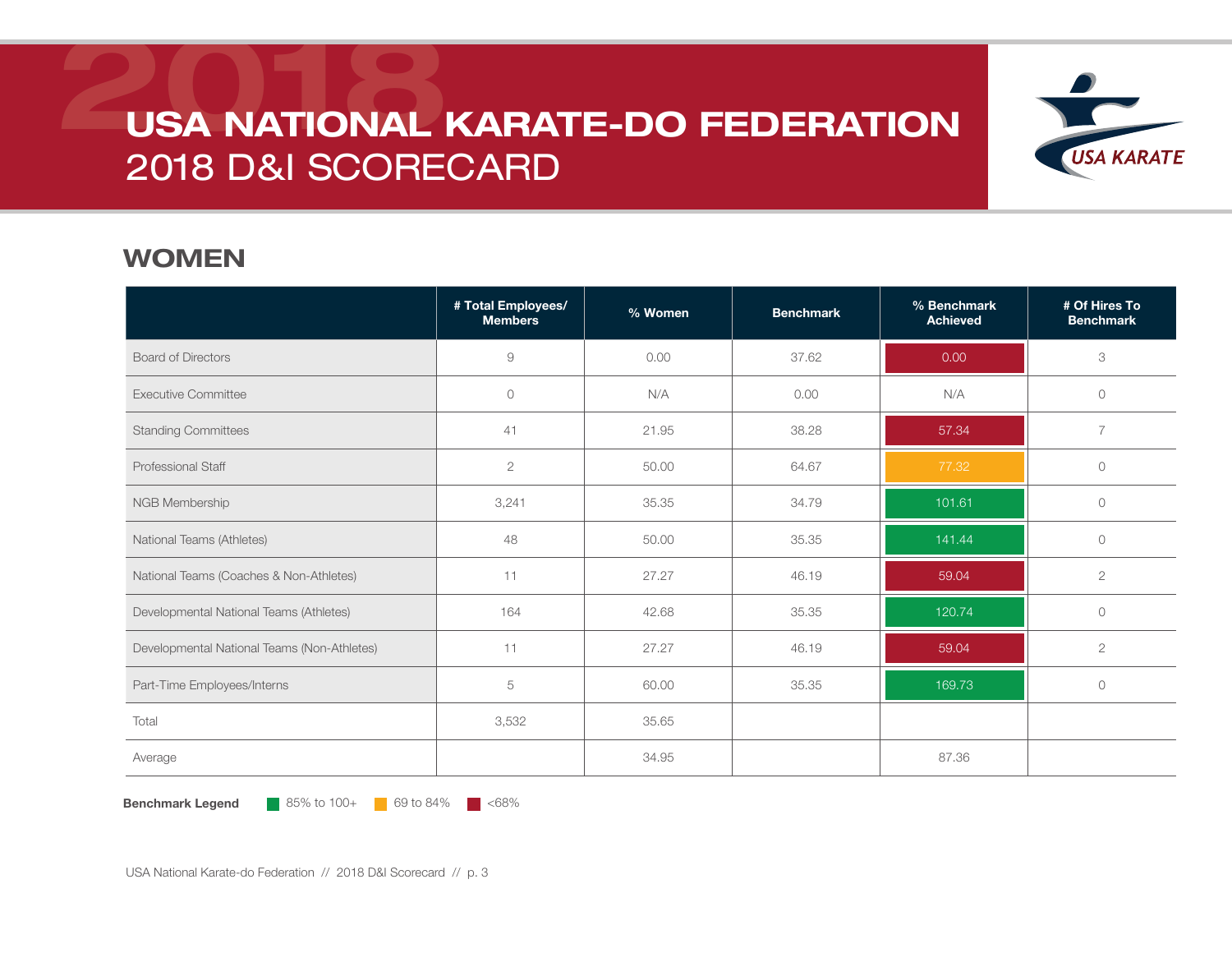

#### WOMEN

|                                             | # Total Employees/<br><b>Members</b> | % Women | <b>Benchmark</b> | % Benchmark<br><b>Achieved</b> | # Of Hires To<br><b>Benchmark</b> |
|---------------------------------------------|--------------------------------------|---------|------------------|--------------------------------|-----------------------------------|
| <b>Board of Directors</b>                   | $\mathcal{G}% _{0}$                  | 0.00    | 37.62            | 0.00                           | 3                                 |
| <b>Executive Committee</b>                  | $\circ$                              | N/A     | 0.00             | N/A                            | $\circ$                           |
| <b>Standing Committees</b>                  | 41                                   | 21.95   | 38.28            | 57.34                          | $\overline{7}$                    |
| Professional Staff                          | $\mathbf{2}$                         | 50.00   | 64.67            | 77.32                          | $\circ$                           |
| NGB Membership                              | 3,241                                | 35.35   | 34.79            | 101.61                         | $\circ$                           |
| National Teams (Athletes)                   | 48                                   | 50.00   | 35.35            | 141.44                         | $\circ$                           |
| National Teams (Coaches & Non-Athletes)     | 11                                   | 27.27   | 46.19            | 59.04                          | $\mathbf{2}$                      |
| Developmental National Teams (Athletes)     | 164                                  | 42.68   | 35.35            | 120.74                         | $\circ$                           |
| Developmental National Teams (Non-Athletes) | 11                                   | 27.27   | 46.19            | 59.04                          | $\mathbf{2}$                      |
| Part-Time Employees/Interns                 | 5                                    | 60.00   | 35.35            | 169.73                         | $\circ$                           |
| Total                                       | 3,532                                | 35.65   |                  |                                |                                   |
| Average                                     |                                      | 34.95   |                  | 87.36                          |                                   |

**Benchmark Legend** 85% to 100+ 69 to 84%  $\blacksquare$  <68%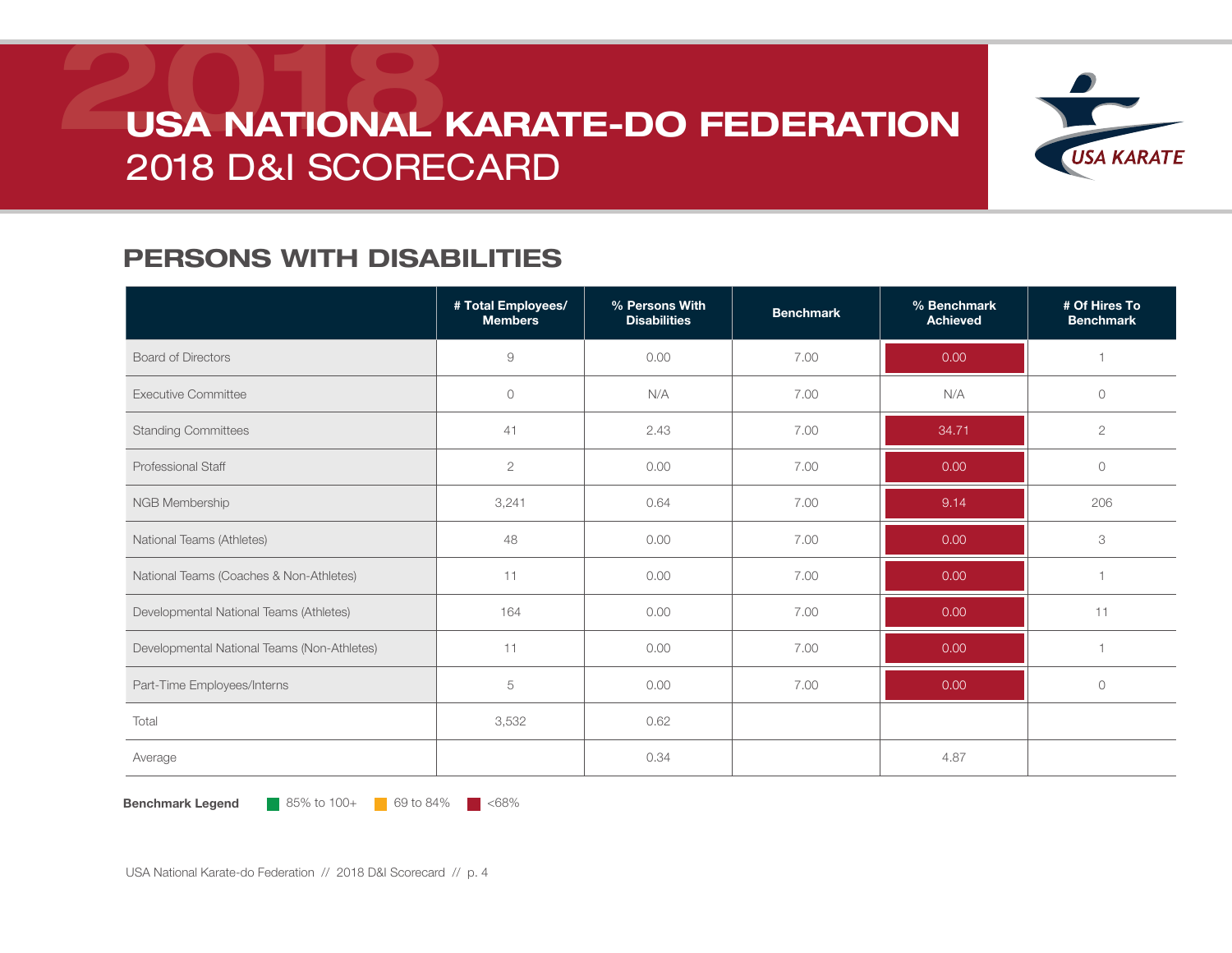

### PERSONS WITH DISABILITIES

|                                             | # Total Employees/<br><b>Members</b> | % Persons With<br><b>Disabilities</b> | <b>Benchmark</b> | % Benchmark<br><b>Achieved</b> | # Of Hires To<br><b>Benchmark</b> |
|---------------------------------------------|--------------------------------------|---------------------------------------|------------------|--------------------------------|-----------------------------------|
| <b>Board of Directors</b>                   | 9                                    | 0.00                                  | 7.00             | 0.00                           |                                   |
| <b>Executive Committee</b>                  | $\circ$                              | N/A                                   | 7.00             | N/A                            | $\circ$                           |
| <b>Standing Committees</b>                  | 41                                   | 2.43                                  | 7.00             | 34.71                          | $\mathbf{2}$                      |
| <b>Professional Staff</b>                   | $\mathbf{2}$                         | 0.00                                  | 7.00             | 0.00                           | $\circ$                           |
| NGB Membership                              | 3,241                                | 0.64                                  | 7.00             | 9.14                           | 206                               |
| National Teams (Athletes)                   | 48                                   | 0.00                                  | 7.00             | 0.00                           | 3                                 |
| National Teams (Coaches & Non-Athletes)     | 11                                   | 0.00                                  | 7.00             | 0.00                           |                                   |
| Developmental National Teams (Athletes)     | 164                                  | 0.00                                  | 7.00             | 0.00                           | 11                                |
| Developmental National Teams (Non-Athletes) | 11                                   | 0.00                                  | 7.00             | 0.00                           |                                   |
| Part-Time Employees/Interns                 | 5                                    | 0.00                                  | 7.00             | 0.00                           | $\circlearrowright$               |
| Total                                       | 3,532                                | 0.62                                  |                  |                                |                                   |
| Average                                     |                                      | 0.34                                  |                  | 4.87                           |                                   |

**Benchmark Legend** 85% to 100+ 69 to 84%  $\blacksquare$  <68%

USA National Karate-do Federation // 2018 D&I Scorecard // p. 4